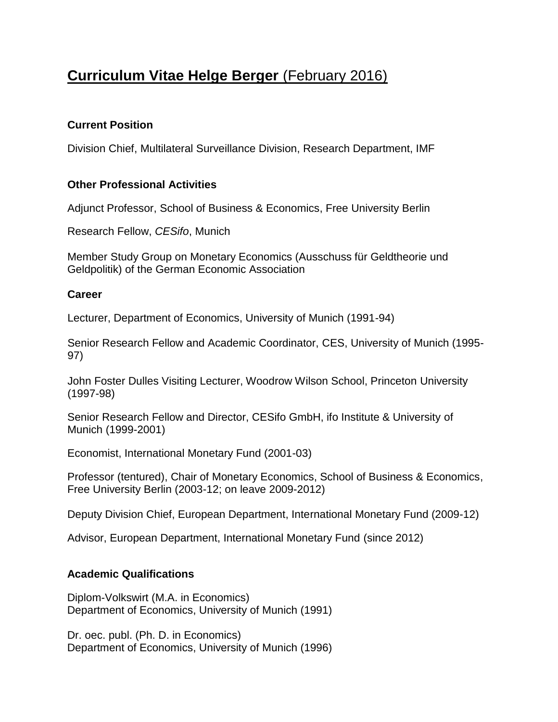# **Curriculum Vitae Helge Berger** (February 2016)

# **Current Position**

Division Chief, Multilateral Surveillance Division, Research Department, IMF

## **Other Professional Activities**

Adjunct Professor, School of Business & Economics, Free University Berlin

Research Fellow, *[CESifo](http://www.cesifo.de/home)*, Munich

Member Study Group on Monetary Economics (Ausschuss für Geldtheorie und Geldpolitik) of the German Economic Association

## **Career**

Lecturer, Department of Economics, University of Munich (1991-94)

Senior Research Fellow and Academic Coordinator, CES, University of Munich (1995- 97)

John Foster Dulles Visiting Lecturer, Woodrow Wilson School, Princeton University (1997-98)

Senior Research Fellow and Director, CESifo GmbH, ifo Institute & University of Munich (1999-2001)

Economist, International Monetary Fund (2001-03)

Professor (tentured), Chair of Monetary Economics, School of Business & Economics, Free University Berlin (2003-12; on leave 2009-2012)

Deputy Division Chief, European Department, International Monetary Fund (2009-12)

Advisor, European Department, International Monetary Fund (since 2012)

## **Academic Qualifications**

Diplom-Volkswirt (M.A. in Economics) Department of Economics, University of Munich (1991)

Dr. oec. publ. (Ph. D. in Economics) Department of Economics, University of Munich (1996)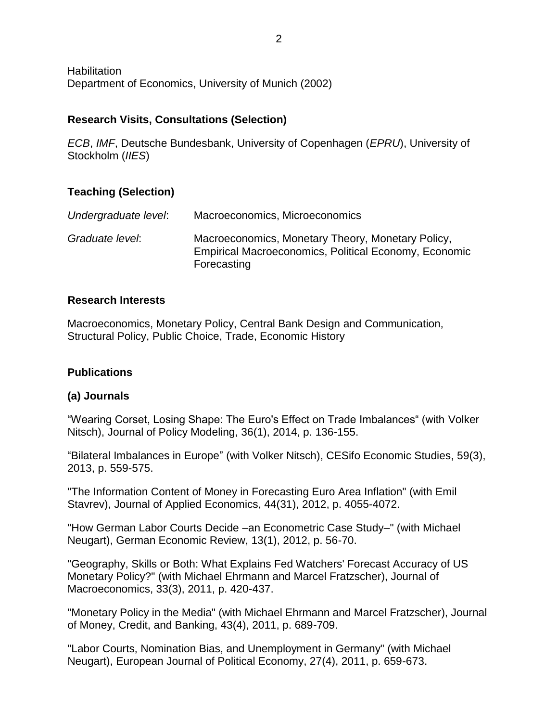**Habilitation** Department of Economics, University of Munich (2002)

## **Research Visits, Consultations (Selection)**

*ECB*, *IMF*, Deutsche Bundesbank, University of Copenhagen (*EPRU*), University of Stockholm (*IIES*)

# **Teaching (Selection)**

| Undergraduate level: | Macroeconomics, Microeconomics                                                                                                   |
|----------------------|----------------------------------------------------------------------------------------------------------------------------------|
| Graduate level:      | Macroeconomics, Monetary Theory, Monetary Policy,<br><b>Empirical Macroeconomics, Political Economy, Economic</b><br>Forecasting |

## **Research Interests**

Macroeconomics, Monetary Policy, Central Bank Design and Communication, Structural Policy, Public Choice, Trade, Economic History

## **Publications**

## **(a) Journals**

"Wearing Corset, Losing Shape: The Euro's Effect on Trade Imbalances" (with Volker Nitsch), Journal of Policy Modeling, 36(1), 2014, p. 136-155.

"Bilateral Imbalances in Europe" (with Volker Nitsch), CESifo Economic Studies, 59(3), 2013, p. 559-575.

"The Information Content of Money in Forecasting Euro Area Inflation" (with Emil Stavrev), Journal of Applied Economics, 44(31), 2012, p. 4055-4072.

"How German Labor Courts Decide –an Econometric Case Study–" (with Michael Neugart), German Economic Review, 13(1), 2012, p. 56-70.

"Geography, Skills or Both: What Explains Fed Watchers' Forecast Accuracy of US Monetary Policy?" (with Michael Ehrmann and Marcel Fratzscher), Journal of Macroeconomics, 33(3), 2011, p. 420-437.

"Monetary Policy in the Media" (with Michael Ehrmann and Marcel Fratzscher), Journal of Money, Credit, and Banking, 43(4), 2011, p. 689-709.

"Labor Courts, Nomination Bias, and Unemployment in Germany" (with Michael Neugart), European Journal of Political Economy, 27(4), 2011, p. 659-673.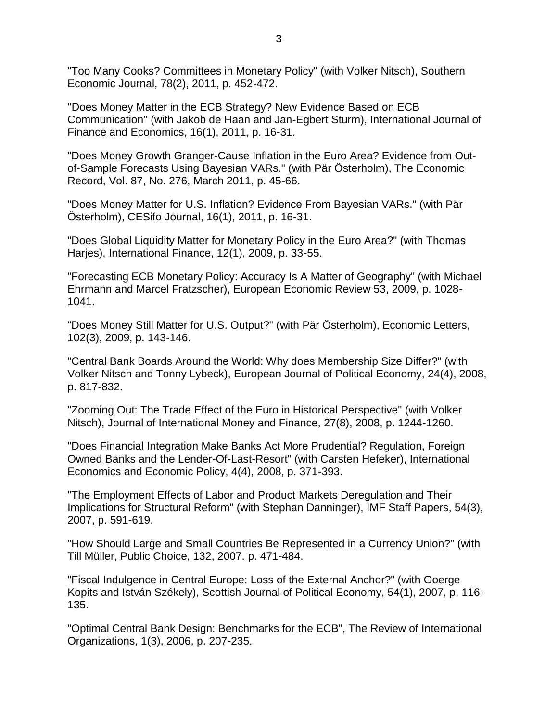"Too Many Cooks? Committees in Monetary Policy" (with Volker Nitsch), Southern Economic Journal, 78(2), 2011, p. 452-472.

''Does Money Matter in the ECB Strategy? New Evidence Based on ECB Communication'' (with Jakob de Haan and Jan-Egbert Sturm), International Journal of Finance and Economics, 16(1), 2011, p. 16-31.

"Does Money Growth Granger-Cause Inflation in the Euro Area? Evidence from Outof-Sample Forecasts Using Bayesian VARs." (with Pär Österholm), The Economic Record, Vol. 87, No. 276, March 2011, p. 45-66.

"Does Money Matter for U.S. Inflation? Evidence From Bayesian VARs." (with Pär Österholm), CESifo Journal, 16(1), 2011, p. 16-31.

"Does Global Liquidity Matter for Monetary Policy in the Euro Area?" (with Thomas Harjes), International Finance, 12(1), 2009, p. 33-55.

"Forecasting ECB Monetary Policy: Accuracy Is A Matter of Geography" (with Michael Ehrmann and Marcel Fratzscher), European Economic Review 53, 2009, p. 1028- 1041.

"Does Money Still Matter for U.S. Output?" (with Pär Österholm), Economic Letters, 102(3), 2009, p. 143-146.

"Central Bank Boards Around the World: Why does Membership Size Differ?" (with Volker Nitsch and Tonny Lybeck), European Journal of Political Economy, 24(4), 2008, p. 817-832.

"Zooming Out: The Trade Effect of the Euro in Historical Perspective" (with Volker Nitsch), Journal of International Money and Finance, 27(8), 2008, p. 1244-1260.

"Does Financial Integration Make Banks Act More Prudential? Regulation, Foreign Owned Banks and the Lender-Of-Last-Resort" (with Carsten Hefeker), International Economics and Economic Policy, 4(4), 2008, p. 371-393.

"The Employment Effects of Labor and Product Markets Deregulation and Their Implications for Structural Reform" (with Stephan Danninger), IMF Staff Papers, 54(3), 2007, p. 591-619.

"How Should Large and Small Countries Be Represented in a Currency Union?" (with Till Müller, Public Choice, 132, 2007. p. 471-484.

"Fiscal Indulgence in Central Europe: Loss of the External Anchor?" (with Goerge Kopits and István Székely), Scottish Journal of Political Economy, 54(1), 2007, p. 116- 135.

"Optimal Central Bank Design: Benchmarks for the ECB", The Review of International Organizations, 1(3), 2006, p. 207-235.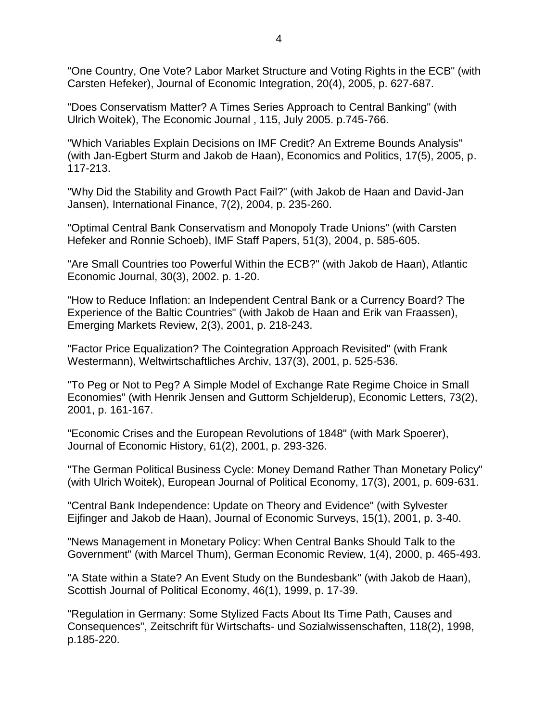"One Country, One Vote? Labor Market Structure and Voting Rights in the ECB" (with Carsten Hefeker), Journal of Economic Integration, 20(4), 2005, p. 627-687.

"Does Conservatism Matter? A Times Series Approach to Central Banking" (with Ulrich Woitek), The Economic Journal , 115, July 2005. p.745-766.

"Which Variables Explain Decisions on IMF Credit? An Extreme Bounds Analysis" (with Jan-Egbert Sturm and Jakob de Haan), Economics and Politics, 17(5), 2005, p. 117-213.

"Why Did the Stability and Growth Pact Fail?" (with Jakob de Haan and David-Jan Jansen), International Finance, 7(2), 2004, p. 235-260.

"Optimal Central Bank Conservatism and Monopoly Trade Unions" (with Carsten Hefeker and Ronnie Schoeb), IMF Staff Papers, 51(3), 2004, p. 585-605.

"Are Small Countries too Powerful Within the ECB?" (with Jakob de Haan), Atlantic Economic Journal, 30(3), 2002. p. 1-20.

"How to Reduce Inflation: an Independent Central Bank or a Currency Board? The Experience of the Baltic Countries" (with Jakob de Haan and Erik van Fraassen), Emerging Markets Review, 2(3), 2001, p. 218-243.

"Factor Price Equalization? The Cointegration Approach Revisited" (with Frank Westermann), Weltwirtschaftliches Archiv, 137(3), 2001, p. 525-536.

"To Peg or Not to Peg? A Simple Model of Exchange Rate Regime Choice in Small Economies" (with Henrik Jensen and Guttorm Schjelderup), Economic Letters, 73(2), 2001, p. 161-167.

"Economic Crises and the European Revolutions of 1848" (with Mark Spoerer), Journal of Economic History, 61(2), 2001, p. 293-326.

"The German Political Business Cycle: Money Demand Rather Than Monetary Policy" (with Ulrich Woitek), European Journal of Political Economy, 17(3), 2001, p. 609-631.

"Central Bank Independence: Update on Theory and Evidence" (with Sylvester Eijfinger and Jakob de Haan), Journal of Economic Surveys, 15(1), 2001, p. 3-40.

"News Management in Monetary Policy: When Central Banks Should Talk to the Government" (with Marcel Thum), German Economic Review, 1(4), 2000, p. 465-493.

"A State within a State? An Event Study on the Bundesbank" (with Jakob de Haan), Scottish Journal of Political Economy, 46(1), 1999, p. 17-39.

"Regulation in Germany: Some Stylized Facts About Its Time Path, Causes and Consequences", Zeitschrift für Wirtschafts- und Sozialwissenschaften, 118(2), 1998, p.185-220.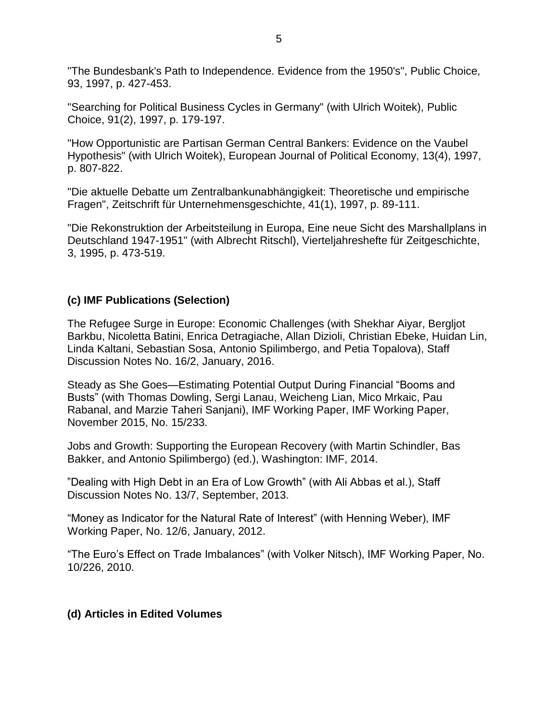"The Bundesbank's Path to Independence. Evidence from the 1950's", Public Choice, 93, 1997, p. 427-453.

"Searching for Political Business Cycles in Germany" (with Ulrich Woitek), Public Choice, 91(2), 1997, p. 179-197.

"How Opportunistic are Partisan German Central Bankers: Evidence on the Vaubel Hypothesis" (with Ulrich Woitek), European Journal of Political Economy, 13(4), 1997, p. 807-822.

"Die aktuelle Debatte um Zentralbankunabhängigkeit: Theoretische und empirische Fragen", Zeitschrift für Unternehmensgeschichte, 41(1), 1997, p. 89-111.

"Die Rekonstruktion der Arbeitsteilung in Europa, Eine neue Sicht des Marshallplans in Deutschland 1947-1951" (with Albrecht Ritschl), Vierteljahreshefte für Zeitgeschichte, 3, 1995, p. 473-519.

# **(c) IMF Publications (Selection)**

The Refugee Surge in Europe: Economic Challenges (with Shekhar Aiyar, Bergljot Barkbu, Nicoletta Batini, Enrica Detragiache, Allan Dizioli, Christian Ebeke, Huidan Lin, Linda Kaltani, Sebastian Sosa, Antonio Spilimbergo, and Petia Topalova), Staff Discussion Notes No. 16/2, January, 2016.

Steady as She Goes—Estimating Potential Output During Financial "Booms and Busts" (with Thomas Dowling, Sergi Lanau, Weicheng Lian, Mico Mrkaic, Pau Rabanal, and Marzie Taheri Sanjani), IMF Working Paper, IMF Working Paper, November 2015, No. 15/233*.*

Jobs and Growth: Supporting the European Recovery (with Martin Schindler, Bas Bakker, and Antonio Spilimbergo) (ed.), Washington: IMF, 2014.

"Dealing with High Debt in an Era of Low Growth" (with Ali Abbas et al.), Staff Discussion Notes No. 13/7, September, 2013.

"Money as Indicator for the Natural Rate of Interest" (with Henning Weber), IMF Working Paper, No. 12/6, January, 2012.

"The Euro's Effect on Trade Imbalances" (with Volker Nitsch), IMF Working Paper, No. 10/226, 2010.

## **(d) Articles in Edited Volumes**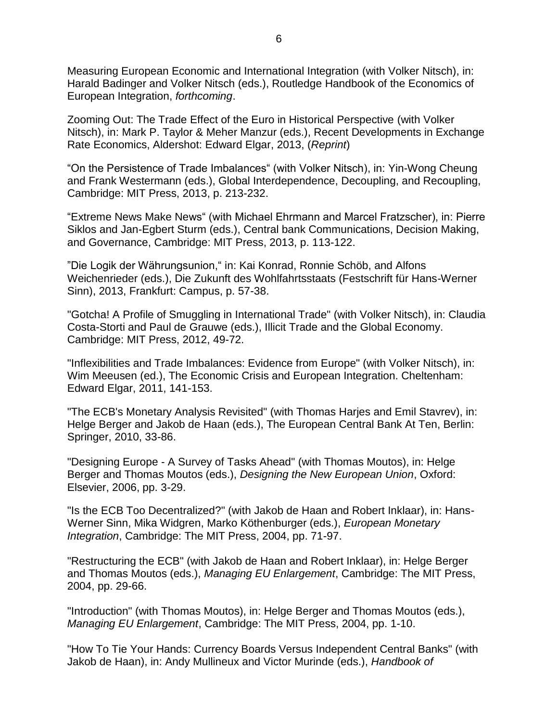Measuring European Economic and International Integration (with Volker Nitsch), in: Harald Badinger and Volker Nitsch (eds.), Routledge Handbook of the Economics of European Integration, *forthcoming*.

Zooming Out: The Trade Effect of the Euro in Historical Perspective (with Volker Nitsch), in: Mark P. Taylor & Meher Manzur (eds.), Recent Developments in Exchange Rate Economics, Aldershot: Edward Elgar, 2013, (*Reprint*)

"On the Persistence of Trade Imbalances" (with Volker Nitsch), in: Yin-Wong Cheung and Frank Westermann (eds.), Global Interdependence, Decoupling, and Recoupling, Cambridge: MIT Press, 2013, p. 213-232.

"Extreme News Make News" (with Michael Ehrmann and Marcel Fratzscher), in: Pierre Siklos and Jan-Egbert Sturm (eds.), Central bank Communications, Decision Making, and Governance, Cambridge: MIT Press, 2013, p. 113-122.

"Die Logik der Währungsunion," in: Kai Konrad, Ronnie Schöb, and Alfons Weichenrieder (eds.), Die Zukunft des Wohlfahrtsstaats (Festschrift für Hans-Werner Sinn), 2013, Frankfurt: Campus, p. 57-38.

"Gotcha! A Profile of Smuggling in International Trade" (with Volker Nitsch), in: Claudia Costa-Storti and Paul de Grauwe (eds.), Illicit Trade and the Global Economy. Cambridge: MIT Press, 2012, 49-72.

"Inflexibilities and Trade Imbalances: Evidence from Europe" (with Volker Nitsch), in: Wim Meeusen (ed.), The Economic Crisis and European Integration. Cheltenham: Edward Elgar, 2011, 141-153.

"The ECB's Monetary Analysis Revisited" (with Thomas Harjes and Emil Stavrev), in: Helge Berger and Jakob de Haan (eds.), The European Central Bank At Ten, Berlin: Springer, 2010, 33-86.

"Designing Europe - A Survey of Tasks Ahead" (with Thomas Moutos), in: Helge Berger and Thomas Moutos (eds.), *Designing the New European Union*, Oxford: Elsevier, 2006, pp. 3-29.

"Is the ECB Too Decentralized?" (with Jakob de Haan and Robert Inklaar), in: Hans-Werner Sinn, Mika Widgren, Marko Köthenburger (eds.), *European Monetary Integration*, Cambridge: The MIT Press, 2004, pp. 71-97.

"Restructuring the ECB" (with Jakob de Haan and Robert Inklaar), in: Helge Berger and Thomas Moutos (eds.), *Managing EU Enlargement*, Cambridge: The MIT Press, 2004, pp. 29-66.

"Introduction" (with Thomas Moutos), in: Helge Berger and Thomas Moutos (eds.), *Managing EU Enlargement*, Cambridge: The MIT Press, 2004, pp. 1-10.

"How To Tie Your Hands: Currency Boards Versus Independent Central Banks" (with Jakob de Haan), in: Andy Mullineux and Victor Murinde (eds.), *Handbook of*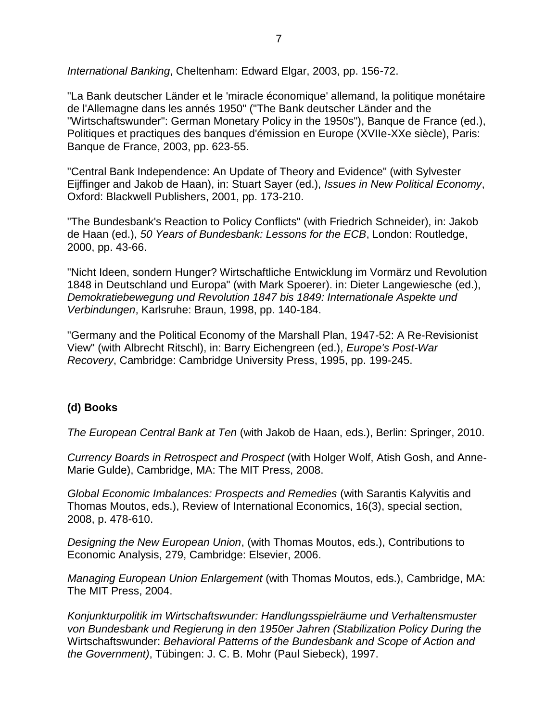*International Banking*, Cheltenham: Edward Elgar, 2003, pp. 156-72.

"La Bank deutscher Länder et le 'miracle économique' allemand, la politique monétaire de l'Allemagne dans les annés 1950" ("The Bank deutscher Länder and the "Wirtschaftswunder": German Monetary Policy in the 1950s"), Banque de France (ed.), Politiques et practiques des banques d'émission en Europe (XVIIe-XXe siècle), Paris: Banque de France, 2003, pp. 623-55.

"Central Bank Independence: An Update of Theory and Evidence" (with Sylvester Eijffinger and Jakob de Haan), in: Stuart Sayer (ed.), *Issues in New Political Economy*, Oxford: Blackwell Publishers, 2001, pp. 173-210.

"The Bundesbank's Reaction to Policy Conflicts" (with Friedrich Schneider), in: Jakob de Haan (ed.), *50 Years of Bundesbank: Lessons for the ECB*, London: Routledge, 2000, pp. 43-66.

"Nicht Ideen, sondern Hunger? Wirtschaftliche Entwicklung im Vormärz und Revolution 1848 in Deutschland und Europa" (with Mark Spoerer). in: Dieter Langewiesche (ed.), *Demokratiebewegung und Revolution 1847 bis 1849: Internationale Aspekte und Verbindungen*, Karlsruhe: Braun, 1998, pp. 140-184.

"Germany and the Political Economy of the Marshall Plan, 1947-52: A Re-Revisionist View" (with Albrecht Ritschl), in: Barry Eichengreen (ed.), *Europe's Post-War Recovery*, Cambridge: Cambridge University Press, 1995, pp. 199-245.

# **(d) Books**

*The European Central Bank at Ten* (with Jakob de Haan, eds.), Berlin: Springer, 2010.

*Currency Boards in Retrospect and Prospect* (with Holger Wolf, Atish Gosh, and Anne-Marie Gulde), Cambridge, MA: The MIT Press, 2008.

*Global Economic Imbalances: Prospects and Remedies* (with Sarantis Kalyvitis and Thomas Moutos, eds.), Review of International Economics, 16(3), special section, 2008, p. 478-610.

*Designing the New European Union*, (with Thomas Moutos, eds.), Contributions to Economic Analysis, 279, Cambridge: Elsevier, 2006.

*[Managing European Union Enlargement](http://www-mitpress.mit.edu/catalog/item/default.asp?sid=91F41BDD-05DD-4841-9396-60E9B269FC32&ttype=2&tid=10032)* (with Thomas Moutos, eds.), Cambridge, MA: The MIT Press, 2004.

*Konjunkturpolitik im Wirtschaftswunder: Handlungsspielräume und Verhaltensmuster von Bundesbank und Regierung in den 1950er Jahren (Stabilization Policy During the* Wirtschaftswunder: *Behavioral Patterns of the Bundesbank and Scope of Action and the Government)*, Tübingen: J. C. B. Mohr (Paul Siebeck), 1997.